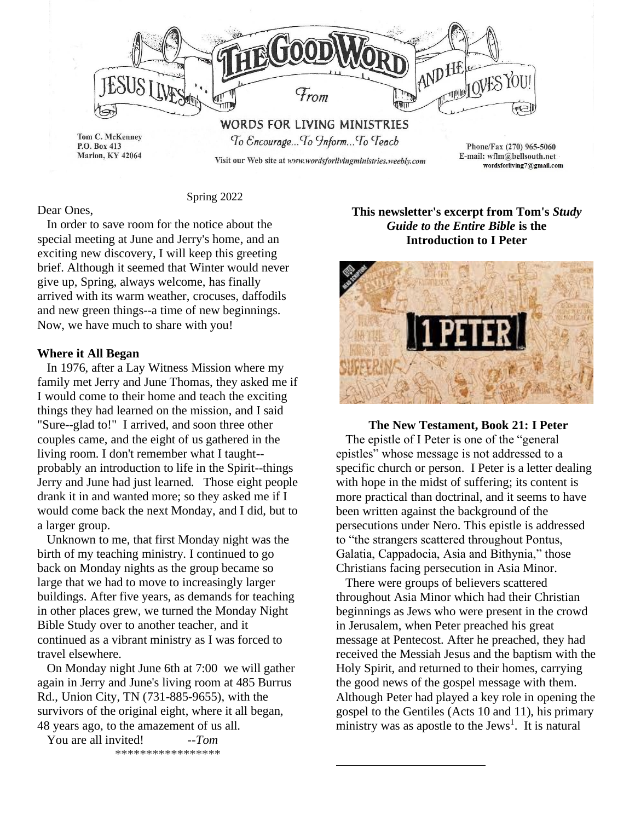

Spring 2022

# Dear Ones,

 In order to save room for the notice about the special meeting at June and Jerry's home, and an exciting new discovery, I will keep this greeting brief. Although it seemed that Winter would never give up, Spring, always welcome, has finally arrived with its warm weather, crocuses, daffodils and new green things--a time of new beginnings. Now, we have much to share with you!

#### **Where it All Began**

In 1976, after a Lay Witness Mission where my family met Jerry and June Thomas, they asked me if I would come to their home and teach the exciting things they had learned on the mission, and I said "Sure--glad to!" I arrived, and soon three other couples came, and the eight of us gathered in the living room. I don't remember what I taught- probably an introduction to life in the Spirit--things Jerry and June had just learned. Those eight people drank it in and wanted more; so they asked me if I would come back the next Monday, and I did, but to a larger group.

 Unknown to me, that first Monday night was the birth of my teaching ministry. I continued to go back on Monday nights as the group became so large that we had to move to increasingly larger buildings. After five years, as demands for teaching in other places grew, we turned the Monday Night Bible Study over to another teacher, and it continued as a vibrant ministry as I was forced to travel elsewhere.

 On Monday night June 6th at 7:00 we will gather again in Jerry and June's living room at 485 Burrus Rd., Union City, TN (731-885-9655), with the survivors of the original eight, where it all began, 48 years ago, to the amazement of us all.

 You are all invited! *--Tom* \*\*\*\*\*\*\*\*\*\*\*\*\*\*\*\*\*

# **This newsletter's excerpt from Tom's** *Study Guide to the Entire Bible* **is the Introduction to I Peter**



**The New Testament, Book 21: I Peter** The epistle of I Peter is one of the "general epistles" whose message is not addressed to a specific church or person. I Peter is a letter dealing with hope in the midst of suffering; its content is more practical than doctrinal, and it seems to have been written against the background of the persecutions under Nero. This epistle is addressed to "the strangers scattered throughout Pontus, Galatia, Cappadocia, Asia and Bithynia," those Christians facing persecution in Asia Minor.

 There were groups of believers scattered throughout Asia Minor which had their Christian beginnings as Jews who were present in the crowd in Jerusalem, when Peter preached his great message at Pentecost. After he preached, they had received the Messiah Jesus and the baptism with the Holy Spirit, and returned to their homes, carrying the good news of the gospel message with them. Although Peter had played a key role in opening the gospel to the Gentiles (Acts 10 and 11), his primary ministry was as apostle to the Jews<sup>1</sup>. It is natural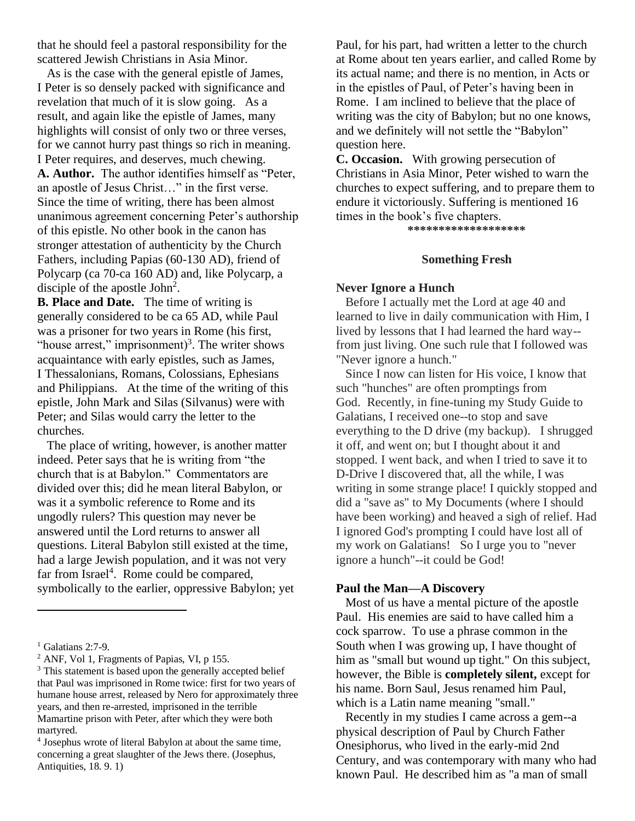that he should feel a pastoral responsibility for the scattered Jewish Christians in Asia Minor.

 As is the case with the general epistle of James, I Peter is so densely packed with significance and revelation that much of it is slow going. As a result, and again like the epistle of James, many highlights will consist of only two or three verses, for we cannot hurry past things so rich in meaning. I Peter requires, and deserves, much chewing. **A. Author.** The author identifies himself as "Peter, an apostle of Jesus Christ…" in the first verse. Since the time of writing, there has been almost unanimous agreement concerning Peter's authorship of this epistle. No other book in the canon has stronger attestation of authenticity by the Church Fathers, including Papias (60-130 AD), friend of Polycarp (ca 70-ca 160 AD) and, like Polycarp, a disciple of the apostle  $John<sup>2</sup>$ .

**B. Place and Date.** The time of writing is generally considered to be ca 65 AD, while Paul was a prisoner for two years in Rome (his first, "house arrest," imprisonment) $3$ . The writer shows acquaintance with early epistles, such as James, I Thessalonians, Romans, Colossians, Ephesians and Philippians. At the time of the writing of this epistle, John Mark and Silas (Silvanus) were with Peter; and Silas would carry the letter to the churches.

 The place of writing, however, is another matter indeed. Peter says that he is writing from "the church that is at Babylon." Commentators are divided over this; did he mean literal Babylon, or was it a symbolic reference to Rome and its ungodly rulers? This question may never be answered until the Lord returns to answer all questions. Literal Babylon still existed at the time, had a large Jewish population, and it was not very far from Israel<sup>4</sup>. Rome could be compared, symbolically to the earlier, oppressive Babylon; yet Paul, for his part, had written a letter to the church at Rome about ten years earlier, and called Rome by its actual name; and there is no mention, in Acts or in the epistles of Paul, of Peter's having been in Rome. I am inclined to believe that the place of writing was the city of Babylon; but no one knows, and we definitely will not settle the "Babylon" question here.

**C. Occasion.** With growing persecution of Christians in Asia Minor, Peter wished to warn the churches to expect suffering, and to prepare them to endure it victoriously. Suffering is mentioned 16 times in the book's five chapters.

**\*\*\*\*\*\*\*\*\*\*\*\*\*\*\*\*\*\*\***

#### **Something Fresh**

#### **Never Ignore a Hunch**

 Before I actually met the Lord at age 40 and learned to live in daily communication with Him, I lived by lessons that I had learned the hard way- from just living. One such rule that I followed was "Never ignore a hunch."

Since I now can listen for His voice, I know that such "hunches" are often promptings from God. Recently, in fine-tuning my Study Guide to Galatians, I received one--to stop and save everything to the D drive (my backup). I shrugged it off, and went on; but I thought about it and stopped. I went back, and when I tried to save it to D-Drive I discovered that, all the while, I was writing in some strange place! I quickly stopped and did a "save as" to My Documents (where I should have been working) and heaved a sigh of relief. Had I ignored God's prompting I could have lost all of my work on Galatians! So I urge you to "never ignore a hunch"--it could be God!

#### **Paul the Man—A Discovery**

 Most of us have a mental picture of the apostle Paul. His enemies are said to have called him a cock sparrow. To use a phrase common in the South when I was growing up, I have thought of him as "small but wound up tight." On this subject, however, the Bible is **completely silent,** except for his name. Born Saul, Jesus renamed him Paul, which is a Latin name meaning "small."

 Recently in my studies I came across a gem--a physical description of Paul by Church Father Onesiphorus, who lived in the early-mid 2nd Century, and was contemporary with many who had known Paul. He described him as "a man of small

 $1$  Galatians 2:7-9.

<sup>2</sup> ANF, Vol 1, Fragments of Papias, VI, p 155.

<sup>&</sup>lt;sup>3</sup> This statement is based upon the generally accepted belief that Paul was imprisoned in Rome twice: first for two years of humane house arrest, released by Nero for approximately three years, and then re-arrested, imprisoned in the terrible Mamartine prison with Peter, after which they were both martyred.

<sup>4</sup> Josephus wrote of literal Babylon at about the same time, concerning a great slaughter of the Jews there. (Josephus, Antiquities, 18. 9. 1)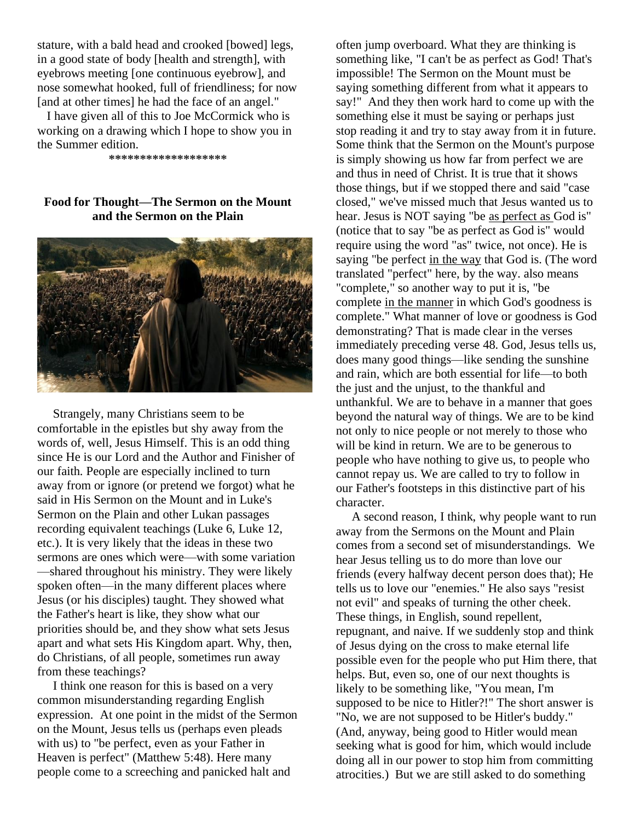stature, with a bald head and crooked [bowed] legs, in a good state of body [health and strength], with eyebrows meeting [one continuous eyebrow], and nose somewhat hooked, full of friendliness; for now [and at other times] he had the face of an angel."

 I have given all of this to Joe McCormick who is working on a drawing which I hope to show you in the Summer edition.

**\*\*\*\*\*\*\*\*\*\*\*\*\*\*\*\*\*\*\***

# **Food for Thought—The Sermon on the Mount and the Sermon on the Plain**



 Strangely, many Christians seem to be comfortable in the epistles but shy away from the words of, well, Jesus Himself. This is an odd thing since He is our Lord and the Author and Finisher of our faith. People are especially inclined to turn away from or ignore (or pretend we forgot) what he said in His Sermon on the Mount and in Luke's Sermon on the Plain and other Lukan passages recording equivalent teachings (Luke 6, Luke 12, etc.). It is very likely that the ideas in these two sermons are ones which were—with some variation —shared throughout his ministry. They were likely spoken often—in the many different places where Jesus (or his disciples) taught. They showed what the Father's heart is like, they show what our priorities should be, and they show what sets Jesus apart and what sets His Kingdom apart. Why, then, do Christians, of all people, sometimes run away from these teachings?

 I think one reason for this is based on a very common misunderstanding regarding English expression. At one point in the midst of the Sermon on the Mount, Jesus tells us (perhaps even pleads with us) to "be perfect, even as your Father in Heaven is perfect" (Matthew 5:48). Here many people come to a screeching and panicked halt and

often jump overboard. What they are thinking is something like, "I can't be as perfect as God! That's impossible! The Sermon on the Mount must be saying something different from what it appears to say!" And they then work hard to come up with the something else it must be saying or perhaps just stop reading it and try to stay away from it in future. Some think that the Sermon on the Mount's purpose is simply showing us how far from perfect we are and thus in need of Christ. It is true that it shows those things, but if we stopped there and said "case closed," we've missed much that Jesus wanted us to hear. Jesus is NOT saying "be as perfect as God is" (notice that to say "be as perfect as God is" would require using the word "as" twice, not once). He is saying "be perfect in the way that God is. (The word translated "perfect" here, by the way. also means "complete," so another way to put it is, "be complete in the manner in which God's goodness is complete." What manner of love or goodness is God demonstrating? That is made clear in the verses immediately preceding verse 48. God, Jesus tells us, does many good things—like sending the sunshine and rain, which are both essential for life—to both the just and the unjust, to the thankful and unthankful. We are to behave in a manner that goes beyond the natural way of things. We are to be kind not only to nice people or not merely to those who will be kind in return. We are to be generous to people who have nothing to give us, to people who cannot repay us. We are called to try to follow in our Father's footsteps in this distinctive part of his character.

 A second reason, I think, why people want to run away from the Sermons on the Mount and Plain comes from a second set of misunderstandings. We hear Jesus telling us to do more than love our friends (every halfway decent person does that); He tells us to love our "enemies." He also says "resist not evil" and speaks of turning the other cheek. These things, in English, sound repellent, repugnant, and naive. If we suddenly stop and think of Jesus dying on the cross to make eternal life possible even for the people who put Him there, that helps. But, even so, one of our next thoughts is likely to be something like, "You mean, I'm supposed to be nice to Hitler?!" The short answer is "No, we are not supposed to be Hitler's buddy." (And, anyway, being good to Hitler would mean seeking what is good for him, which would include doing all in our power to stop him from committing atrocities.) But we are still asked to do something